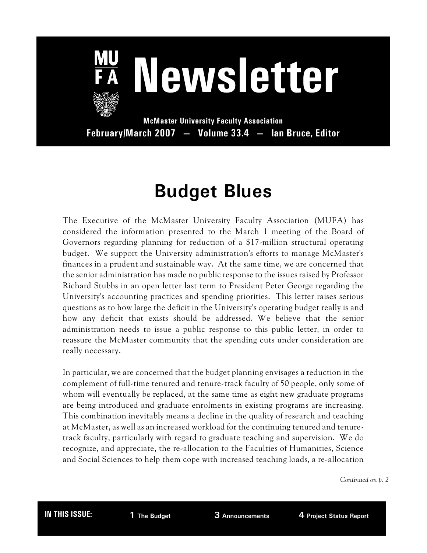

**McMaster University Faculty Association February/March 2007 — Volume 33.4 — Ian Bruce, Editor**

# **Budget Blues**

The Executive of the McMaster University Faculty Association (MUFA) has considered the information presented to the March 1 meeting of the Board of Governors regarding planning for reduction of a \$17-million structural operating budget. We support the University administration's efforts to manage McMaster's finances in a prudent and sustainable way. At the same time, we are concerned that the senior administration has made no public response to the issues raised by Professor Richard Stubbs in an open letter last term to President Peter George regarding the University's accounting practices and spending priorities. This letter raises serious questions as to how large the deficit in the University's operating budget really is and how any deficit that exists should be addressed. We believe that the senior administration needs to issue a public response to this public letter, in order to reassure the McMaster community that the spending cuts under consideration are really necessary.

In particular, we are concerned that the budget planning envisages a reduction in the complement of full-time tenured and tenure-track faculty of 50 people, only some of whom will eventually be replaced, at the same time as eight new graduate programs are being introduced and graduate enrolments in existing programs are increasing. This combination inevitably means a decline in the quality of research and teaching at McMaster, as well as an increased workload for the continuing tenured and tenuretrack faculty, particularly with regard to graduate teaching and supervision. We do recognize, and appreciate, the re-allocation to the Faculties of Humanities, Science and Social Sciences to help them cope with increased teaching loads, a re-allocation

*Continued on p. 2*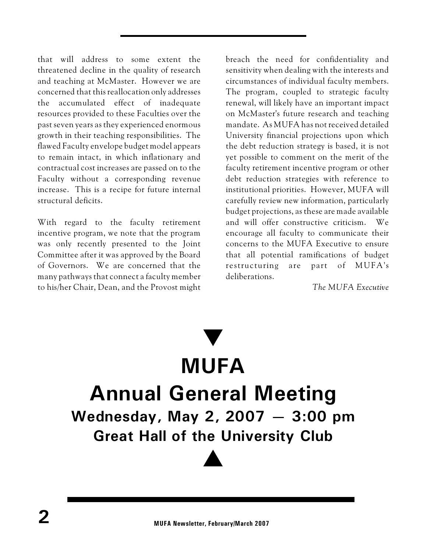that will address to some extent the threatened decline in the quality of research and teaching at McMaster. However we are concerned that this reallocation only addresses the accumulated effect of inadequate resources provided to these Faculties over the past seven years as they experienced enormous growth in their teaching responsibilities. The flawed Faculty envelope budget model appears to remain intact, in which inflationary and contractual cost increases are passed on to the Faculty without a corresponding revenue increase. This is a recipe for future internal structural deficits.

With regard to the faculty retirement incentive program, we note that the program was only recently presented to the Joint Committee after it was approved by the Board of Governors. We are concerned that the many pathways that connect a faculty member to his/her Chair, Dean, and the Provost might breach the need for confidentiality and sensitivity when dealing with the interests and circumstances of individual faculty members. The program, coupled to strategic faculty renewal, will likely have an important impact on McMaster's future research and teaching mandate. As MUFA has not received detailed University financial projections upon which the debt reduction strategy is based, it is not yet possible to comment on the merit of the faculty retirement incentive program or other debt reduction strategies with reference to institutional priorities. However, MUFA will carefully review new information, particularly budget projections, as these are made available and will offer constructive criticism. We encourage all faculty to communicate their concerns to the MUFA Executive to ensure that all potential ramifications of budget re structuring are part of MUFA's deliberations.

*The MUFA Executive*

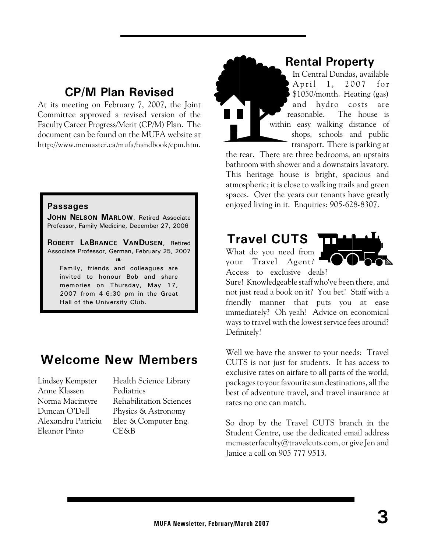#### **CP/M Plan Revised**

At its meeting on February 7, 2007, the Joint Committee approved a revised version of the Faculty Career Progress/Merit (CP/M) Plan. The document can be found on the MUFA website at http://www.mcmaster.ca/mufa/handbook/cpm.htm.

#### **Passages**

**JOHN NELSON MARLOW**, Retired Associate Professor, Family Medicine, December 27, 2006

**ROBERT LABRANCE VANDUSEN**, Retired Associate Professor, German, February 25, 2007  $\sum$ 

Family, friends and colleagues are invited to honour Bob and share memories on Thursday, May 17, 2007 from 4-6:30 pm in the Great Hall of the University Club.

### **Welcome New Members**

Anne Klassen Pediatrics Eleanor Pinto CE&B

Lindsey Kempster Health Science Library Norma Macintyre Rehabilitation Sciences Duncan O'Dell Physics & Astronomy Alexandru Patriciu Elec & Computer Eng.

#### **Rental Property**

In Central Dundas, available April 1, 2007 for \$1050/month. Heating (gas) and hydro costs are reasonable. The house is within easy walking distance of shops, schools and public transport. There is parking at

the rear. There are three bedrooms, an upstairs bathroom with shower and a downstairs lavatory. This heritage house is bright, spacious and atmospheric; it is close to walking trails and green spaces. Over the years our tenants have greatly enjoyed living in it. Enquiries: 905-628-8307.

#### **Travel CUTS**

What do you need from your Travel Agent? Access to exclusive deals?



Sure! Knowledgeable staff who've been there, and not just read a book on it? You bet! Staff with a friendly manner that puts you at ease immediately? Oh yeah! Advice on economical ways to travel with the lowest service fees around? Definitely!

Well we have the answer to your needs: Travel CUTS is not just for students. It has access to exclusive rates on airfare to all parts of the world, packages to your favourite sun destinations, all the best of adventure travel, and travel insurance at rates no one can match.

So drop by the Travel CUTS branch in the Student Centre, use the dedicated email address mcmasterfaculty@travelcuts.com, or give Jen and Janice a call on 905 777 9513.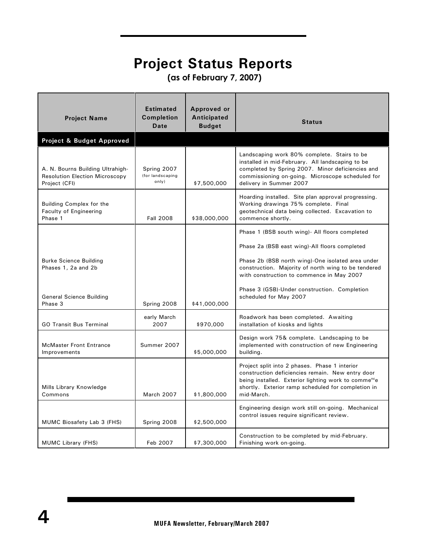## **Project Status Reports**

 **(as of February 7, 2007)**

| <b>Project Name</b>                                                                        | <b>Estimated</b><br><b>Completion</b><br>Date | Approved or<br>Anticipated<br><b>Budget</b> | <b>Status</b>                                                                                                                                                                                                                             |
|--------------------------------------------------------------------------------------------|-----------------------------------------------|---------------------------------------------|-------------------------------------------------------------------------------------------------------------------------------------------------------------------------------------------------------------------------------------------|
| Project & Budget Approved                                                                  |                                               |                                             |                                                                                                                                                                                                                                           |
| A. N. Bourns Building Ultrahigh-<br><b>Resolution Election Microscopy</b><br>Project (CFI) | Spring 2007<br>(for landscaping<br>only)      | \$7,500,000                                 | Landscaping work 80% complete. Stairs to be<br>installed in mid-February. All landscaping to be<br>completed by Spring 2007. Minor deficiencies and<br>commissioning on-going. Microscope scheduled for<br>delivery in Summer 2007        |
| Building Complex for the<br>Faculty of Engineering<br>Phase 1                              | <b>Fall 2008</b>                              | \$38,000,000                                | Hoarding installed. Site plan approval progressing.<br>Working drawings 75% complete. Final<br>geotechnical data being collected. Excavation to<br>commence shortly.                                                                      |
|                                                                                            |                                               |                                             | Phase 1 (BSB south wing) - All floors completed                                                                                                                                                                                           |
|                                                                                            |                                               |                                             | Phase 2a (BSB east wing)-All floors completed                                                                                                                                                                                             |
| <b>Burke Science Building</b><br>Phases 1, 2a and 2b                                       |                                               |                                             | Phase 2b (BSB north wing)-One isolated area under<br>construction. Majority of north wing to be tendered<br>with construction to commence in May 2007                                                                                     |
| <b>General Science Building</b><br>Phase 3                                                 | Spring 2008                                   | \$41,000,000                                | Phase 3 (GSB)-Under construction. Completion<br>scheduled for May 2007                                                                                                                                                                    |
| <b>GO Transit Bus Terminal</b>                                                             | early March<br>2007                           | \$970,000                                   | Roadwork has been completed. Awaiting<br>installation of kiosks and lights                                                                                                                                                                |
| <b>McMaster Front Entrance</b><br>Improvements                                             | Summer 2007                                   | \$5,000,000                                 | Design work 75& complete. Landscaping to be<br>implemented with construction of new Engineering<br>building.                                                                                                                              |
| Mills Library Knowledge<br>Commons                                                         | <b>March 2007</b>                             | \$1,800,000                                 | Project split into 2 phases. Phase 1 interior<br>construction deficiencies remain. New entry door<br>being installed. Exterior lighting work to comme <sup>nc</sup> e<br>shortly. Exterior ramp scheduled for completion in<br>mid-March. |
| MUMC Biosafety Lab 3 (FHS)                                                                 | Spring 2008                                   | \$2,500,000                                 | Engineering design work still on-going. Mechanical<br>control issues require significant review.                                                                                                                                          |
| <b>MUMC Library (FHS)</b>                                                                  | Feb 2007                                      | \$7,300,000                                 | Construction to be completed by mid-February.<br>Finishing work on-going.                                                                                                                                                                 |